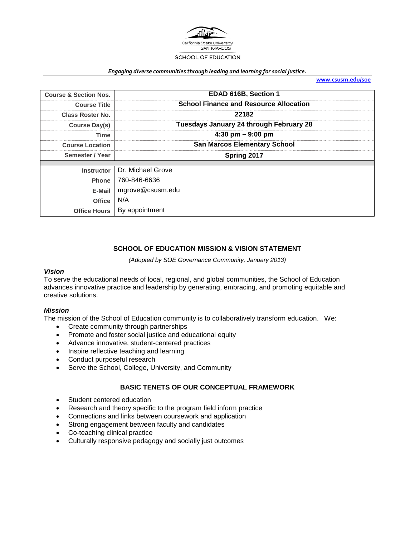

#### *Engaging diverse communities through leading and learning for social justice.*

**[www.csusm.edu/soe](http://www.csusm.edu/soe)**

| <b>Course &amp; Section Nos.</b> | EDAD 616B, Section 1                          |  |  |
|----------------------------------|-----------------------------------------------|--|--|
| <b>Course Title</b>              | <b>School Finance and Resource Allocation</b> |  |  |
| Class Roster No.                 | 22182                                         |  |  |
| Course Day(s)                    | Tuesdays January 24 through February 28       |  |  |
| Time                             | $4:30 \text{ pm} - 9:00 \text{ pm}$           |  |  |
| <b>Course Location</b>           | <b>San Marcos Elementary School</b>           |  |  |
| Semester / Year                  | Spring 2017                                   |  |  |
|                                  | Instructor   Dr. Michael Grove                |  |  |
| Phone                            | 760-846-6636                                  |  |  |
| E-Mail                           | mgrove@csusm.edu                              |  |  |
| <b>Office</b>                    | N/A                                           |  |  |
| <b>Office Hours</b>              | By appointment                                |  |  |

### **SCHOOL OF EDUCATION MISSION & VISION STATEMENT**

*(Adopted by SOE Governance Community, January 2013)*

#### *Vision*

To serve the educational needs of local, regional, and global communities, the School of Education advances innovative practice and leadership by generating, embracing, and promoting equitable and creative solutions.

#### *Mission*

The mission of the School of Education community is to collaboratively transform education. We:

- Create community through partnerships
- Promote and foster social justice and educational equity
- Advance innovative, student-centered practices
- Inspire reflective teaching and learning
- Conduct purposeful research
- Serve the School, College, University, and Community

# **BASIC TENETS OF OUR CONCEPTUAL FRAMEWORK**

- Student centered education
- Research and theory specific to the program field inform practice
- Connections and links between coursework and application
- Strong engagement between faculty and candidates
- Co-teaching clinical practice
- Culturally responsive pedagogy and socially just outcomes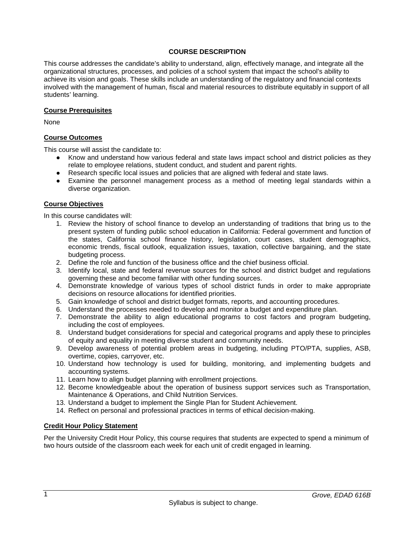# **COURSE DESCRIPTION**

This course addresses the candidate's ability to understand, align, effectively manage, and integrate all the organizational structures, processes, and policies of a school system that impact the school's ability to achieve its vision and goals. These skills include an understanding of the regulatory and financial contexts involved with the management of human, fiscal and material resources to distribute equitably in support of all students' learning.

#### **Course Prerequisites**

None

### **Course Outcomes**

This course will assist the candidate to:

- Know and understand how various federal and state laws impact school and district policies as they relate to employee relations, student conduct, and student and parent rights.
- Research specific local issues and policies that are aligned with federal and state laws.
- Examine the personnel management process as a method of meeting legal standards within a diverse organization.

### **Course Objectives**

In this course candidates will:

- 1. Review the history of school finance to develop an understanding of traditions that bring us to the present system of funding public school education in California: Federal government and function of the states, California school finance history, legislation, court cases, student demographics, economic trends, fiscal outlook, equalization issues, taxation, collective bargaining, and the state budgeting process.
- 2. Define the role and function of the business office and the chief business official.
- 3. Identify local, state and federal revenue sources for the school and district budget and regulations governing these and become familiar with other funding sources.
- 4. Demonstrate knowledge of various types of school district funds in order to make appropriate decisions on resource allocations for identified priorities.
- 5. Gain knowledge of school and district budget formats, reports, and accounting procedures.
- 6. Understand the processes needed to develop and monitor a budget and expenditure plan.
- 7. Demonstrate the ability to align educational programs to cost factors and program budgeting, including the cost of employees.
- 8. Understand budget considerations for special and categorical programs and apply these to principles of equity and equality in meeting diverse student and community needs.
- 9. Develop awareness of potential problem areas in budgeting, including PTO/PTA, supplies, ASB, overtime, copies, carryover, etc.
- 10. Understand how technology is used for building, monitoring, and implementing budgets and accounting systems.
- 11. Learn how to align budget planning with enrollment projections.
- 12. Become knowledgeable about the operation of business support services such as Transportation, Maintenance & Operations, and Child Nutrition Services.
- 13. Understand a budget to implement the Single Plan for Student Achievement.
- 14. Reflect on personal and professional practices in terms of ethical decision-making.

# **Credit Hour Policy Statement**

Per the University Credit Hour Policy, this course requires that students are expected to spend a minimum of two hours outside of the classroom each week for each unit of credit engaged in learning.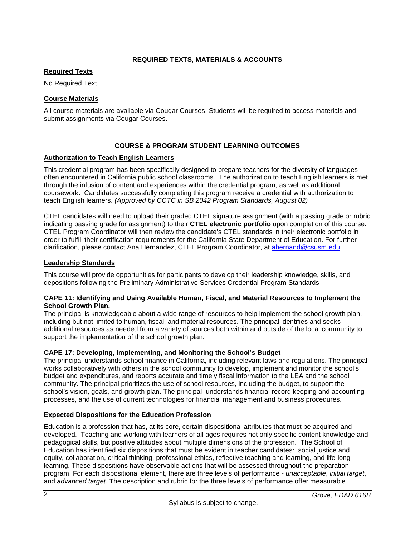# **REQUIRED TEXTS, MATERIALS & ACCOUNTS**

# **Required Texts**

No Required Text.

# **Course Materials**

All course materials are available via Cougar Courses. Students will be required to access materials and submit assignments via Cougar Courses.

# **COURSE & PROGRAM STUDENT LEARNING OUTCOMES**

# **Authorization to Teach English Learners**

This credential program has been specifically designed to prepare teachers for the diversity of languages often encountered in California public school classrooms. The authorization to teach English learners is met through the infusion of content and experiences within the credential program, as well as additional coursework. Candidates successfully completing this program receive a credential with authorization to teach English learners. *(Approved by CCTC in SB 2042 Program Standards, August 02)*

CTEL candidates will need to upload their graded CTEL signature assignment (with a passing grade or rubric indicating passing grade for assignment) to their **CTEL electronic portfolio** upon completion of this course. CTEL Program Coordinator will then review the candidate's CTEL standards in their electronic portfolio in order to fulfill their certification requirements for the California State Department of Education. For further clarification, please contact Ana Hernandez, CTEL Program Coordinator, at [ahernand@csusm.edu.](https://bl2prd0511.outlook.com/owa/redir.aspx?C=AW7hZ-DBL0G6FPgB8G8Eri3bAwuccNAIwYI81VgsrzvmHC5AEo6nGJNyvZWC7aqWfxtUgiTx_9k.&URL=mailto%3aahernand%40csusm.edu)

# **Leadership Standards**

This course will provide opportunities for participants to develop their leadership knowledge, skills, and depositions following the Preliminary Administrative Services Credential Program Standards

### **CAPE 11: Identifying and Using Available Human, Fiscal, and Material Resources to Implement the School Growth Plan.**

The principal is knowledgeable about a wide range of resources to help implement the school growth plan, including but not limited to human, fiscal, and material resources. The principal identifies and seeks additional resources as needed from a variety of sources both within and outside of the local community to support the implementation of the school growth plan.

# **CAPE 17: Developing, Implementing, and Monitoring the School's Budget**

The principal understands school finance in California, including relevant laws and regulations. The principal works collaboratively with others in the school community to develop, implement and monitor the school's budget and expenditures, and reports accurate and timely fiscal information to the LEA and the school community. The principal prioritizes the use of school resources, including the budget, to support the school's vision, goals, and growth plan. The principal understands financial record keeping and accounting processes, and the use of current technologies for financial management and business procedures.

# **Expected Dispositions for the Education Profession**

Education is a profession that has, at its core, certain dispositional attributes that must be acquired and developed. Teaching and working with learners of all ages requires not only specific content knowledge and pedagogical skills, but positive attitudes about multiple dimensions of the profession. The School of Education has identified six dispositions that must be evident in teacher candidates: social justice and equity, collaboration, critical thinking, professional ethics, reflective teaching and learning, and life-long learning. These dispositions have observable actions that will be assessed throughout the preparation program. For each dispositional element, there are three levels of performance - *unacceptable*, *initial target*, and *advanced target*. The description and rubric for the three levels of performance offer measurable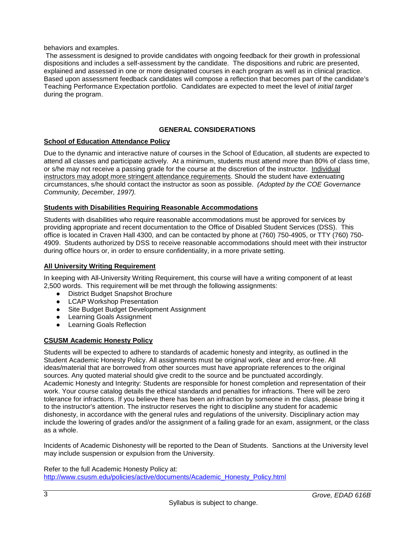behaviors and examples.

The assessment is designed to provide candidates with ongoing feedback for their growth in professional dispositions and includes a self-assessment by the candidate. The dispositions and rubric are presented, explained and assessed in one or more designated courses in each program as well as in clinical practice. Based upon assessment feedback candidates will compose a reflection that becomes part of the candidate's Teaching Performance Expectation portfolio. Candidates are expected to meet the level of *initial target* during the program.

# **GENERAL CONSIDERATIONS**

# **School of Education Attendance Policy**

Due to the dynamic and interactive nature of courses in the School of Education, all students are expected to attend all classes and participate actively. At a minimum, students must attend more than 80% of class time, or s/he may not receive a passing grade for the course at the discretion of the instructor. Individual instructors may adopt more stringent attendance requirements. Should the student have extenuating circumstances, s/he should contact the instructor as soon as possible. *(Adopted by the COE Governance Community, December, 1997).*

### **Students with Disabilities Requiring Reasonable Accommodations**

Students with disabilities who require reasonable accommodations must be approved for services by providing appropriate and recent documentation to the Office of Disabled Student Services (DSS). This office is located in Craven Hall 4300, and can be contacted by phone at (760) 750-4905, or TTY (760) 750- 4909. Students authorized by DSS to receive reasonable accommodations should meet with their instructor during office hours or, in order to ensure confidentiality, in a more private setting.

# **All University Writing Requirement**

In keeping with All-University Writing Requirement, this course will have a writing component of at least 2,500 words. This requirement will be met through the following assignments:

- District Budget Snapshot Brochure
- LCAP Workshop Presentation
- Site Budget Budget Development Assignment
- Learning Goals Assignment
- Learning Goals Reflection

# **CSUSM Academic Honesty Policy**

Students will be expected to adhere to standards of academic honesty and integrity, as outlined in the Student Academic Honesty Policy. All assignments must be original work, clear and error-free. All ideas/material that are borrowed from other sources must have appropriate references to the original sources. Any quoted material should give credit to the source and be punctuated accordingly. Academic Honesty and Integrity: Students are responsible for honest completion and representation of their work. Your course catalog details the ethical standards and penalties for infractions. There will be zero tolerance for infractions. If you believe there has been an infraction by someone in the class, please bring it to the instructor's attention. The instructor reserves the right to discipline any student for academic dishonesty, in accordance with the general rules and regulations of the university. Disciplinary action may include the lowering of grades and/or the assignment of a failing grade for an exam, assignment, or the class as a whole.

Incidents of Academic Dishonesty will be reported to the Dean of Students. Sanctions at the University level may include suspension or expulsion from the University.

Refer to the full Academic Honesty Policy at: [http://www.csusm.edu/policies/active/documents/Academic\\_Honesty\\_Policy.html](http://www.csusm.edu/policies/active/documents/Academic_Honesty_Policy.html)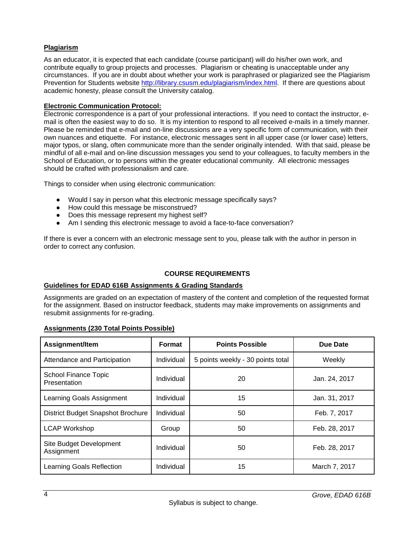# **Plagiarism**

As an educator, it is expected that each candidate (course participant) will do his/her own work, and contribute equally to group projects and processes. Plagiarism or cheating is unacceptable under any circumstances. If you are in doubt about whether your work is paraphrased or plagiarized see the Plagiarism Prevention for Students website [http://library.csusm.edu/plagiarism/index.html.](http://library.csusm.edu/plagiarism/index.html) If there are questions about academic honesty, please consult the University catalog.

# **Electronic Communication Protocol:**

Electronic correspondence is a part of your professional interactions. If you need to contact the instructor, email is often the easiest way to do so. It is my intention to respond to all received e-mails in a timely manner. Please be reminded that e-mail and on-line discussions are a very specific form of communication, with their own nuances and etiquette. For instance, electronic messages sent in all upper case (or lower case) letters, major typos, or slang, often communicate more than the sender originally intended. With that said, please be mindful of all e-mail and on-line discussion messages you send to your colleagues, to faculty members in the School of Education, or to persons within the greater educational community. All electronic messages should be crafted with professionalism and care.

Things to consider when using electronic communication:

- Would I say in person what this electronic message specifically says?
- How could this message be misconstrued?
- Does this message represent my highest self?
- Am I sending this electronic message to avoid a face-to-face conversation?

If there is ever a concern with an electronic message sent to you, please talk with the author in person in order to correct any confusion.

# **COURSE REQUIREMENTS**

# **Guidelines for EDAD 616B Assignments & Grading Standards**

Assignments are graded on an expectation of mastery of the content and completion of the requested format for the assignment. Based on instructor feedback, students may make improvements on assignments and resubmit assignments for re-grading.

# **Assignments (230 Total Points Possible)**

| Assignment/Item                       | Format     | <b>Points Possible</b>            | Due Date      |
|---------------------------------------|------------|-----------------------------------|---------------|
| Attendance and Participation          | Individual | 5 points weekly - 30 points total | Weekly        |
| School Finance Topic<br>Presentation  | Individual | 20                                | Jan. 24, 2017 |
| Learning Goals Assignment             | Individual | 15                                | Jan. 31, 2017 |
| District Budget Snapshot Brochure     | Individual | 50                                | Feb. 7, 2017  |
| <b>LCAP Workshop</b>                  | Group      | 50                                | Feb. 28, 2017 |
| Site Budget Development<br>Assignment | Individual | 50                                | Feb. 28, 2017 |
| Learning Goals Reflection             | Individual | 15                                | March 7, 2017 |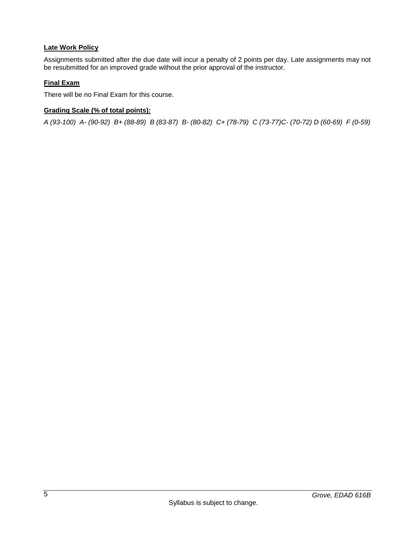# **Late Work Policy**

Assignments submitted after the due date will incur a penalty of 2 points per day. Late assignments may not be resubmitted for an improved grade without the prior approval of the instructor.

# **Final Exam**

There will be no Final Exam for this course.

# **Grading Scale (% of total points):**

*A (93-100) A- (90-92) B+ (88-89) B (83-87) B- (80-82) C+ (78-79) C (73-77)C- (70-72) D (60-69) F (0-59)*